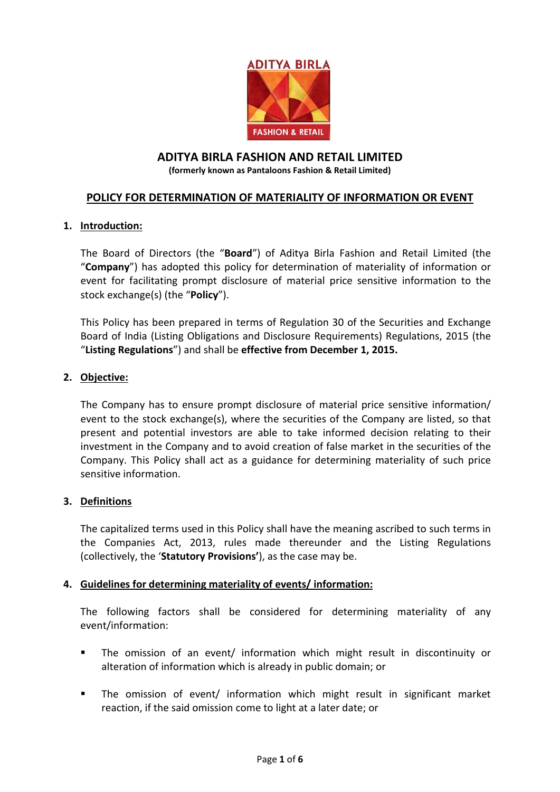

# **ADITYA BIRLA FASHION AND RETAIL LIMITED**

**(formerly known as Pantaloons Fashion & Retail Limited)**

# **POLICY FOR DETERMINATION OF MATERIALITY OF INFORMATION OR EVENT**

## **1. Introduction:**

The Board of Directors (the "**Board**") of Aditya Birla Fashion and Retail Limited (the "**Company**") has adopted this policy for determination of materiality of information or event for facilitating prompt disclosure of material price sensitive information to the stock exchange(s) (the "**Policy**").

This Policy has been prepared in terms of Regulation 30 of the Securities and Exchange Board of India (Listing Obligations and Disclosure Requirements) Regulations, 2015 (the "**Listing Regulations**") and shall be **effective from December 1, 2015.**

## **2. Objective:**

The Company has to ensure prompt disclosure of material price sensitive information/ event to the stock exchange(s), where the securities of the Company are listed, so that present and potential investors are able to take informed decision relating to their investment in the Company and to avoid creation of false market in the securities of the Company. This Policy shall act as a guidance for determining materiality of such price sensitive information.

#### **3. Definitions**

The capitalized terms used in this Policy shall have the meaning ascribed to such terms in the Companies Act, 2013, rules made thereunder and the Listing Regulations (collectively, the '**Statutory Provisions'**), as the case may be.

#### **4. Guidelines for determining materiality of events/ information:**

The following factors shall be considered for determining materiality of any event/information:

- The omission of an event/ information which might result in discontinuity or alteration of information which is already in public domain; or
- The omission of event/ information which might result in significant market reaction, if the said omission come to light at a later date; or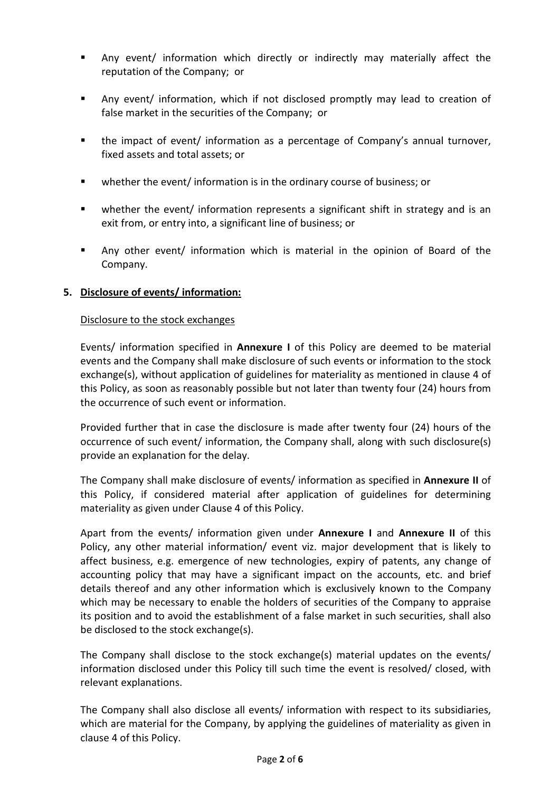- Any event/ information which directly or indirectly may materially affect the reputation of the Company; or
- Any event/ information, which if not disclosed promptly may lead to creation of false market in the securities of the Company; or
- the impact of event/ information as a percentage of Company's annual turnover, fixed assets and total assets; or
- whether the event/ information is in the ordinary course of business; or
- whether the event/ information represents a significant shift in strategy and is an exit from, or entry into, a significant line of business; or
- Any other event/ information which is material in the opinion of Board of the Company.

# **5. Disclosure of events/ information:**

#### Disclosure to the stock exchanges

Events/ information specified in **Annexure I** of this Policy are deemed to be material events and the Company shall make disclosure of such events or information to the stock exchange(s), without application of guidelines for materiality as mentioned in clause 4 of this Policy, as soon as reasonably possible but not later than twenty four (24) hours from the occurrence of such event or information.

Provided further that in case the disclosure is made after twenty four (24) hours of the occurrence of such event/ information, the Company shall, along with such disclosure(s) provide an explanation for the delay.

The Company shall make disclosure of events/ information as specified in **Annexure II** of this Policy, if considered material after application of guidelines for determining materiality as given under Clause 4 of this Policy.

Apart from the events/ information given under **Annexure I** and **Annexure II** of this Policy, any other material information/ event viz. major development that is likely to affect business, e.g. emergence of new technologies, expiry of patents, any change of accounting policy that may have a significant impact on the accounts, etc. and brief details thereof and any other information which is exclusively known to the Company which may be necessary to enable the holders of securities of the Company to appraise its position and to avoid the establishment of a false market in such securities, shall also be disclosed to the stock exchange(s).

The Company shall disclose to the stock exchange(s) material updates on the events/ information disclosed under this Policy till such time the event is resolved/ closed, with relevant explanations.

The Company shall also disclose all events/ information with respect to its subsidiaries, which are material for the Company, by applying the guidelines of materiality as given in clause 4 of this Policy.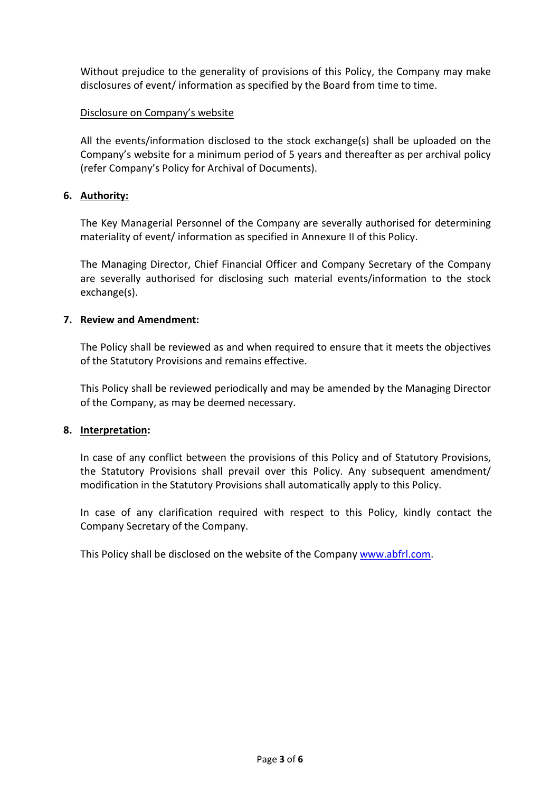Without prejudice to the generality of provisions of this Policy, the Company may make disclosures of event/ information as specified by the Board from time to time.

# Disclosure on Company's website

All the events/information disclosed to the stock exchange(s) shall be uploaded on the Company's website for a minimum period of 5 years and thereafter as per archival policy (refer Company's Policy for Archival of Documents).

## **6. Authority:**

The Key Managerial Personnel of the Company are severally authorised for determining materiality of event/ information as specified in Annexure II of this Policy.

The Managing Director, Chief Financial Officer and Company Secretary of the Company are severally authorised for disclosing such material events/information to the stock exchange(s).

#### **7. Review and Amendment:**

The Policy shall be reviewed as and when required to ensure that it meets the objectives of the Statutory Provisions and remains effective.

This Policy shall be reviewed periodically and may be amended by the Managing Director of the Company, as may be deemed necessary.

#### **8. Interpretation:**

In case of any conflict between the provisions of this Policy and of Statutory Provisions, the Statutory Provisions shall prevail over this Policy. Any subsequent amendment/ modification in the Statutory Provisions shall automatically apply to this Policy.

In case of any clarification required with respect to this Policy, kindly contact the Company Secretary of the Company.

This Policy shall be disclosed on the website of the Company [www.abfrl.com.](http://www.abfrl.com/)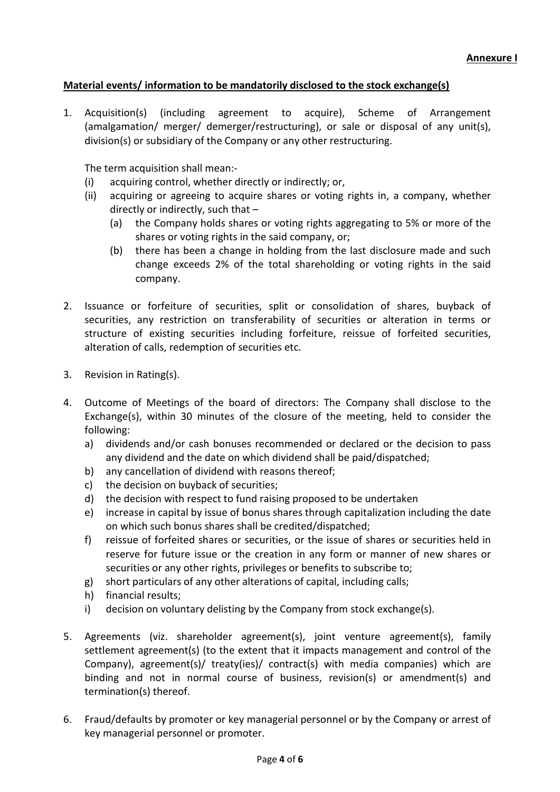# **Material events/ information to be mandatorily disclosed to the stock exchange(s)**

1. Acquisition(s) (including agreement to acquire), Scheme of Arrangement (amalgamation/ merger/ demerger/restructuring), or sale or disposal of any unit(s), division(s) or subsidiary of the Company or any other restructuring.

The term acquisition shall mean:-

- (i) acquiring control, whether directly or indirectly; or,
- (ii) acquiring or agreeing to acquire shares or voting rights in, a company, whether directly or indirectly, such that –
	- (a) the Company holds shares or voting rights aggregating to 5% or more of the shares or voting rights in the said company, or;
	- (b) there has been a change in holding from the last disclosure made and such change exceeds 2% of the total shareholding or voting rights in the said company.
- 2. Issuance or forfeiture of securities, split or consolidation of shares, buyback of securities, any restriction on transferability of securities or alteration in terms or structure of existing securities including forfeiture, reissue of forfeited securities, alteration of calls, redemption of securities etc.
- 3. Revision in Rating(s).
- 4. Outcome of Meetings of the board of directors: The Company shall disclose to the Exchange(s), within 30 minutes of the closure of the meeting, held to consider the following:
	- a) dividends and/or cash bonuses recommended or declared or the decision to pass any dividend and the date on which dividend shall be paid/dispatched;
	- b) any cancellation of dividend with reasons thereof;
	- c) the decision on buyback of securities;
	- d) the decision with respect to fund raising proposed to be undertaken
	- e) increase in capital by issue of bonus shares through capitalization including the date on which such bonus shares shall be credited/dispatched;
	- f) reissue of forfeited shares or securities, or the issue of shares or securities held in reserve for future issue or the creation in any form or manner of new shares or securities or any other rights, privileges or benefits to subscribe to;
	- g) short particulars of any other alterations of capital, including calls;
	- h) financial results;
	- i) decision on voluntary delisting by the Company from stock exchange(s).
- 5. Agreements (viz. shareholder agreement(s), joint venture agreement(s), family settlement agreement(s) (to the extent that it impacts management and control of the Company), agreement(s)/ treaty(ies)/ contract(s) with media companies) which are binding and not in normal course of business, revision(s) or amendment(s) and termination(s) thereof.
- 6. Fraud/defaults by promoter or key managerial personnel or by the Company or arrest of key managerial personnel or promoter.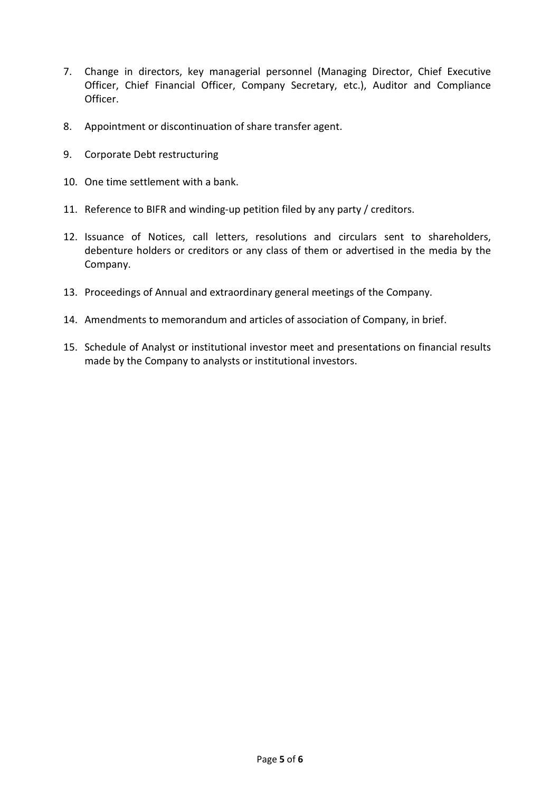- 7. Change in directors, key managerial personnel (Managing Director, Chief Executive Officer, Chief Financial Officer, Company Secretary, etc.), Auditor and Compliance Officer.
- 8. Appointment or discontinuation of share transfer agent.
- 9. Corporate Debt restructuring
- 10. One time settlement with a bank.
- 11. Reference to BIFR and winding-up petition filed by any party / creditors.
- 12. Issuance of Notices, call letters, resolutions and circulars sent to shareholders, debenture holders or creditors or any class of them or advertised in the media by the Company.
- 13. Proceedings of Annual and extraordinary general meetings of the Company.
- 14. Amendments to memorandum and articles of association of Company, in brief.
- 15. Schedule of Analyst or institutional investor meet and presentations on financial results made by the Company to analysts or institutional investors.